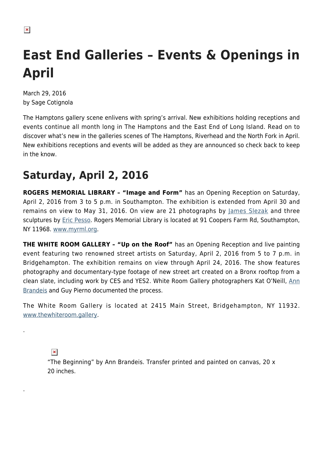$\pmb{\times}$ 

# **East End Galleries – Events & Openings in April**

March 29, 2016 by Sage Cotignola

The Hamptons gallery scene enlivens with spring's arrival. New exhibitions holding receptions and events continue all month long in The Hamptons and the East End of Long Island. Read on to discover what's new in the galleries scenes of The Hamptons, Riverhead and the North Fork in April. New exhibitions receptions and events will be added as they are announced so check back to keep in the know.

### **Saturday, April 2, 2016**

**ROGERS MEMORIAL LIBRARY – "Image and Form"** has an Opening Reception on Saturday, April 2, 2016 from 3 to 5 p.m. in Southampton. The exhibition is extended from April 30 and remains on view to May 31, 2016. On view are 21 photographs by [James Slezak](http://www.jamesslezakphotography.com/) and three sculptures by [Eric Pesso.](http://www.flatbushartists.org/EricPesso.htm) Rogers Memorial Library is located at 91 Coopers Farm Rd, Southampton, NY 11968. [www.myrml.org.](http://www.myrml.org)

**THE WHITE ROOM GALLERY – "Up on the Roof"** has an Opening Reception and live painting event featuring two renowned street artists on Saturday, April 2, 2016 from 5 to 7 p.m. in Bridgehampton. The exhibition remains on view through April 24, 2016. The show features photography and documentary-type footage of new street art created on a Bronx rooftop from a clean slate, including work by CES and YES2. White Room Gallery photographers Kat O'Neill, [Ann](http://annbrandeis.com/) **Brandels and Guy Pierno documented the process.** 

The White Room Gallery is located at 2415 Main Street, Bridgehampton, NY 11932. [www.thewhiteroom.gallery](http://www.thewhiteroom.gallery).

 $\pmb{\times}$ 

.

.

"The Beginning" by Ann Brandeis. Transfer printed and painted on canvas, 20 x 20 inches.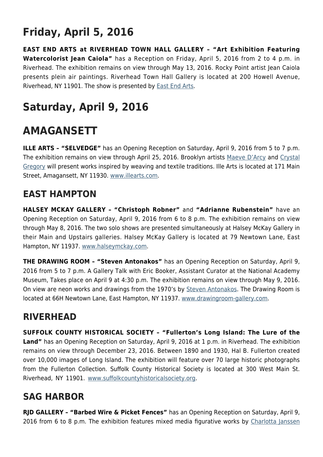## **Friday, April 5, 2016**

**EAST END ARTS at RIVERHEAD TOWN HALL GALLERY – "Art Exhibition Featuring Watercolorist Jean Caiola"** has a Reception on Friday, April 5, 2016 from 2 to 4 p.m. in Riverhead. The exhibition remains on view through May 13, 2016. Rocky Point artist Jean Caiola presents plein air paintings. Riverhead Town Hall Gallery is located at 200 Howell Avenue, Riverhead, NY 11901. The show is presented by [East End Arts.](http://www.eastendarts.org/)

### **Saturday, April 9, 2016**

### **AMAGANSETT**

**ILLE ARTS – "SELVEDGE"** has an Opening Reception on Saturday, April 9, 2016 from 5 to 7 p.m. The exhibition remains on view through April 25, 2016. Brooklyn artists [Maeve D'Arcy](http://maevedarcy.com/home.html) and [Crystal](http://www.crystalgregory.org/) [Gregory](http://www.crystalgregory.org/) will present works inspired by weaving and textile traditions. Ille Arts is located at 171 Main Street, Amagansett, NY 11930. [www.illearts.com.](http://www.illearts.com)

#### **EAST HAMPTON**

**HALSEY MCKAY GALLERY – "Christoph Robner"** and **"Adrianne Rubenstein"** have an Opening Reception on Saturday, April 9, 2016 from 6 to 8 p.m. The exhibition remains on view through May 8, 2016. The two solo shows are presented simultaneously at Halsey McKay Gallery in their Main and Upstairs galleries. Halsey McKay Gallery is located at 79 Newtown Lane, East Hampton, NY 11937. [www.halseymckay.com](http://www.halseymckay.com).

**THE DRAWING ROOM – "Steven Antonakos"** has an Opening Reception on Saturday, April 9, 2016 from 5 to 7 p.m. A Gallery Talk with Eric Booker, Assistant Curator at the National Academy Museum, Takes place on April 9 at 4:30 p.m. The exhibition remains on view through May 9, 2016. On view are neon works and drawings from the 1970's by [Steven Antonakos.](http://www.stephenantonakos.com/) The Drawing Room is located at 66H Newtown Lane, East Hampton, NY 11937. [www.drawingroom-gallery.com](http://www.drawingroom-gallery.com).

#### **RIVERHEAD**

**SUFFOLK COUNTY HISTORICAL SOCIETY – "Fullerton's Long Island: The Lure of the Land"** has an Opening Reception on Saturday, April 9, 2016 at 1 p.m. in Riverhead. The exhibition remains on view through December 23, 2016. Between 1890 and 1930, Hal B. Fullerton created over 10,000 images of Long Island. The exhibition will feature over 70 large historic photographs from the Fullerton Collection. Suffolk County Historical Society is located at 300 West Main St. Riverhead, NY 11901. [www.suffolkcountyhistoricalsociety.org](http://www.suffolkcountyhistoricalsociety.org).

#### **SAG HARBOR**

**RJD GALLERY – "Barbed Wire & Picket Fences"** has an Opening Reception on Saturday, April 9, 2016 from 6 to 8 p.m. The exhibition features mixed media figurative works by [Charlotta Janssen](http://charlottajanssen.com/)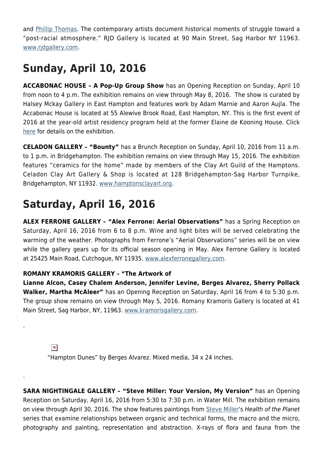and [Phillip Thomas.](https://www.artsy.net/artist/phillip-thomas) The contemporary artists document historical moments of struggle toward a "post-racial atmosphere." RJD Gallery is located at 90 Main Street, Sag Harbor NY 11963. [www.rjdgallery.com](http://www.rjdgallery.com).

### **Sunday, April 10, 2016**

**ACCABONAC HOUSE – A Pop-Up Group Show** has an Opening Reception on Sunday, April 10 from noon to 4 p.m. The exhibition remains on view through May 8, 2016. The show is curated by Halsey Mckay Gallery in East Hampton and features work by Adam Marnie and Aaron Aujla. The Accabonac House is located at 55 Alewive Brook Road, East Hampton, NY. This is the first event of 2016 at the year-old artist residency program held at the former Elaine de Kooning House. Click [here](http://www.halseymckay.com/future-exhibitions) for details on the exhibition.

**CELADON GALLERY – "Bounty"** has a Brunch Reception on Sunday, April 10, 2016 from 11 a.m. to 1 p.m. in Bridgehampton. The exhibition remains on view through May 15, 2016. The exhibition features "ceramics for the home" made by members of the Clay Art Guild of the Hamptons. Celadon Clay Art Gallery & Shop is located at 128 Bridgehampton-Sag Harbor Turnpike, Bridgehampton, NY 11932. [www.hamptonsclayart.org.](http://www.hamptonsclayart.org/)

### **Saturday, April 16, 2016**

**ALEX FERRONE GALLERY – "Alex Ferrone: Aerial Observations"** has a Spring Reception on Saturday, April 16, 2016 from 6 to 8 p.m. Wine and light bites will be served celebrating the warming of the weather. Photographs from Ferrone's "Aerial Observations" series will be on view while the gallery gears up for its official season opening in May. Alex Ferrone Gallery is located at 25425 Main Road, Cutchogue, NY 11935. [www.alexferronegallery.com](http://www.alexferronegallery.com).

#### **ROMANY KRAMORIS GALLERY – "The Artwork of**

**Lianne Alcon, Casey Chalem Anderson, Jennifer Levine, Berges Alvarez, Sherry Pollack Walker, Martha McAleer"** has an Opening Reception on Saturday, April 16 from 4 to 5:30 p.m. The group show remains on view through May 5, 2016. Romany Kramoris Gallery is located at 41 Main Street, Sag Harbor, NY, 11963. [www.kramorisgallery.com.](http://www.kramorisgallery.com)

 $\pmb{\times}$ 

.

.

"Hampton Dunes" by Berges Alvarez. Mixed media, 34 x 24 inches.

**SARA NIGHTINGALE GALLERY – "Steve Miller: Your Version, My Version"** has an Opening Reception on Saturday, April 16, 2016 from 5:30 to 7:30 p.m. in Water Mill. The exhibition remains on view through April 30, 2016. The show features paintings from [Steve Miller'](http://stevemiller.com/)s Health of the Planet series that examine relationships between organic and technical forms, the macro and the micro, photography and painting, representation and abstraction. X-rays of flora and fauna from the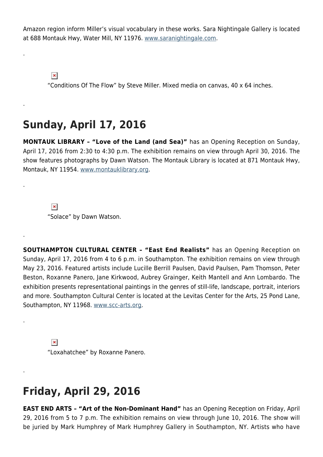Amazon region inform Miller's visual vocabulary in these works. Sara Nightingale Gallery is located at 688 Montauk Hwy, Water Mill, NY 11976. [www.saranightingale.com](http://www.saranightingale.com).

 $\pmb{\times}$ 

.

.

.

.

.

.

"Conditions Of The Flow" by Steve Miller. Mixed media on canvas, 40 x 64 inches.

### **Sunday, April 17, 2016**

**MONTAUK LIBRARY – "Love of the Land (and Sea)"** has an Opening Reception on Sunday, April 17, 2016 from 2:30 to 4:30 p.m. The exhibition remains on view through April 30, 2016. The show features photographs by Dawn Watson. The Montauk Library is located at 871 Montauk Hwy, Montauk, NY 11954. [www.montauklibrary.org.](http://www.montauklibrary.org)

 $\pmb{\times}$ "Solace" by Dawn Watson.

**SOUTHAMPTON CULTURAL CENTER – "East End Realists"** has an Opening Reception on Sunday, April 17, 2016 from 4 to 6 p.m. in Southampton. The exhibition remains on view through May 23, 2016. Featured artists include Lucille Berrill Paulsen, David Paulsen, Pam Thomson, Peter Beston, Roxanne Panero, Jane Kirkwood, Aubrey Grainger, Keith Mantell and Ann Lombardo. The exhibition presents representational paintings in the genres of still-life, landscape, portrait, interiors and more. Southampton Cultural Center is located at the Levitas Center for the Arts, 25 Pond Lane, Southampton, NY 11968. [www.scc-arts.org.](http://www.scc-arts.org)

 $\pmb{\times}$ "Loxahatchee" by Roxanne Panero.

### **Friday, April 29, 2016**

**EAST END ARTS – "Art of the Non-Dominant Hand"** has an Opening Reception on Friday, April 29, 2016 from 5 to 7 p.m. The exhibition remains on view through June 10, 2016. The show will be juried by Mark Humphrey of Mark Humphrey Gallery in Southampton, NY. Artists who have